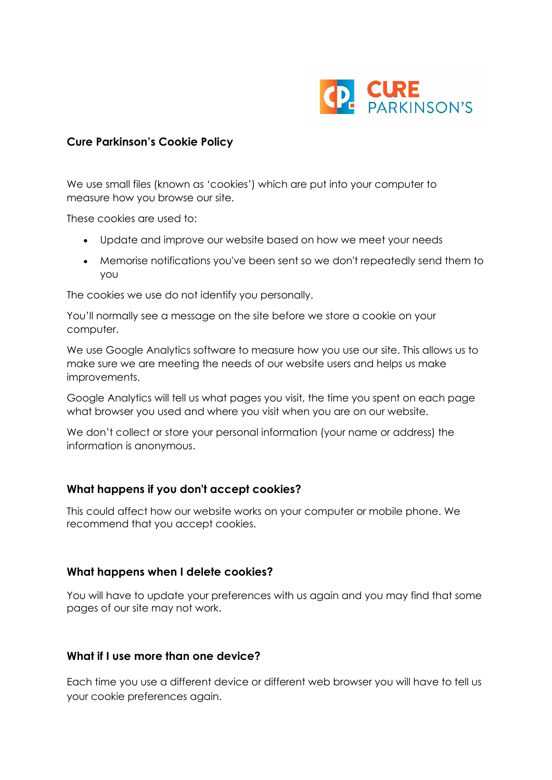

## **Cure Parkinson's Cookie Policy**

We use small files (known as 'cookies') which are put into your computer to measure how you browse our site.

These cookies are used to:

- Update and improve our website based on how we meet your needs
- Memorise notifications you've been sent so we don't repeatedly send them to you

The cookies we use do not identify you personally.

You'll normally see a message on the site before we store a cookie on your computer.

We use Google Analytics software to measure how you use our site. This allows us to make sure we are meeting the needs of our website users and helps us make improvements.

Google Analytics will tell us what pages you visit, the time you spent on each page what browser you used and where you visit when you are on our website.

We don't collect or store your personal information (your name or address) the information is anonymous.

## **What happens if you don't accept cookies?**

This could affect how our website works on your computer or mobile phone. We recommend that you accept cookies.

## **What happens when I delete cookies?**

You will have to update your preferences with us again and you may find that some pages of our site may not work.

## **What if I use more than one device?**

Each time you use a different device or different web browser you will have to tell us your cookie preferences again.